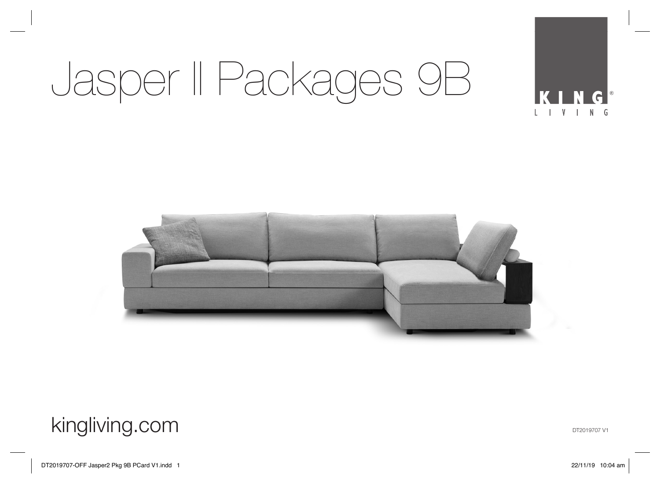# Jasper II Packages 9B



### kingliving.com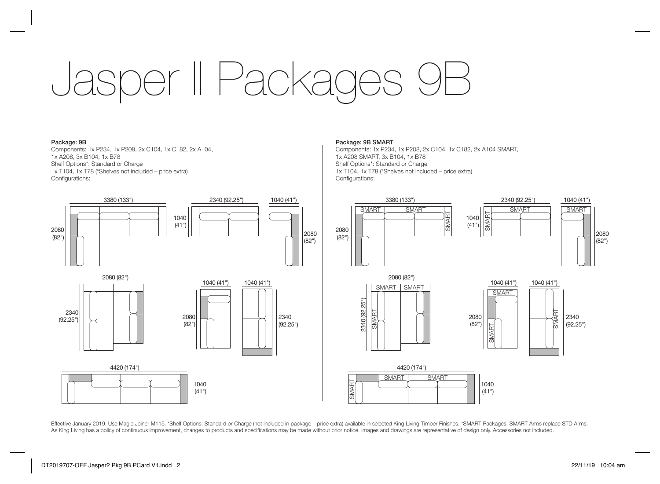## Jasper II Packages 1

### Package: 9B

Components: 1x P234, 1x P208, 2x C104, 1x C182, 2x A104, 1x A208, 3x B104, 1x B78 Shelf Options\*: Standard or Charge 1x T104, 1x T78 (\*Shelves not included – price extra) Configurations:



### Package: 9B SMART

Components: 1x P234, 1x P208, 2x C104, 1x C182, 2x A104 SMART, 1x A208 SMART, 3x B104, 1x B78 Shelf Options\*: Standard or Charge 1x T104, 1x T78 (\*Shelves not included – price extra) Configurations:



Effective January 2019. Use Magic Joiner M115. \*Shelf Options: Standard or Charge (not included in package – price extra) available in selected King Living Timber Finishes. \*SMART Packages: SMART Arms replace STD Arms. As King Living has a policy of continuous improvement, changes to products and specifications may be made without prior notice. Images and drawings are representative of design only. Accessories not included.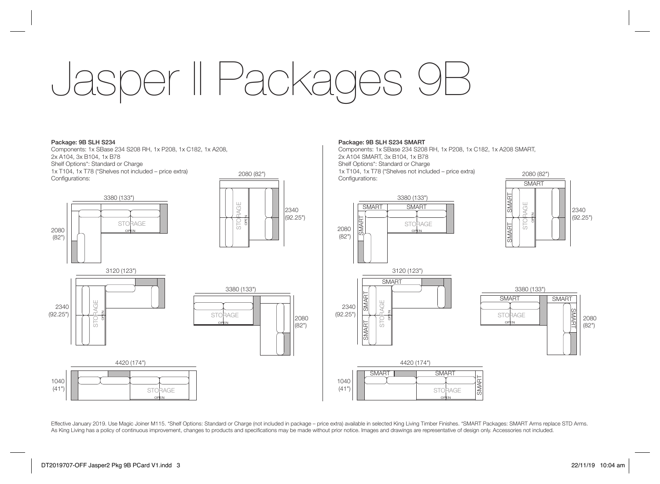### Jasper II Package

2080 (82")

2340 (92.25")

> 2080 (82")

### Package: 9B SLH S234

Components: 1x SBase 234 S208 RH, 1x P208, 1x C182, 1x A208, 2x A104, 3x B104, 1x B78 Shelf Options\*: Standard or Charge 1x T104, 1x T78 (\*Shelves not included – price extra) Configurations:



### Package: 9B SLH S234 SMART

Components: 1x SBase 234 S208 RH, 1x P208, 1x C182, 1x A208 SMART, 2x A104 SMART, 3x B104, 1x B78 Shelf Options\*: Standard or Charge 1x T104, 1x T78 (\*Shelves not included – price extra) Configurations:







### 1040  $(41"$ **STORAGE** OPEN 4420 (174") SMART<sub>s</sub> SMART

Effective January 2019. Use Magic Joiner M115. \*Shelf Options: Standard or Charge (not included in package – price extra) available in selected King Living Timber Finishes. \*SMART Packages: SMART Arms replace STD Arms. As King Living has a policy of continuous improvement, changes to products and specifications may be made without prior notice. Images and drawings are representative of design only. Accessories not included.